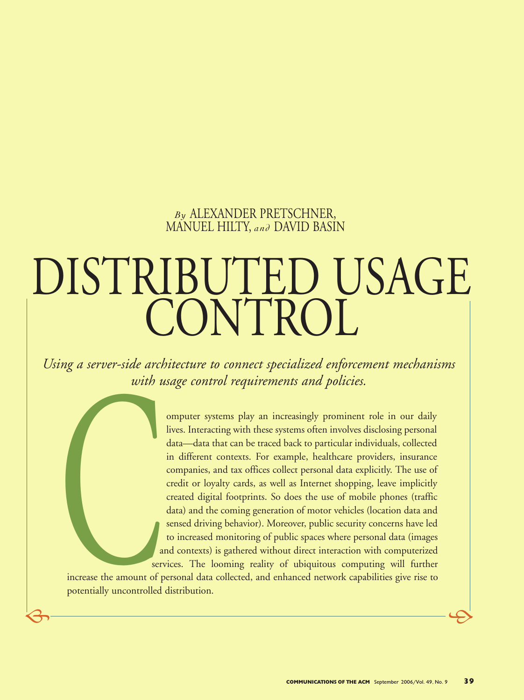## *By* ALEXANDER PRETSCHNER, MANUEL HILTY, *and* DAVID BASIN

# DISTRIBUTED USAGE CONTROL

*Using a server-side architecture to connect specialized enforcement mechanisms with usage control requirements and policies.* 

> omputer systems play an increasingly prominent role in our daily lives. Interacting with these systems often involves disclosing personal data—data that can be traced back to particular individuals, collected in different contexts. For example, healthcare providers, insurance companies, and tax offices collect personal data explicitly. The use of credit or loyalty cards, as well as Internet shopping, leave implicitly created digital footprints. So does the use of mobile phones (traffic data) and the coming generation of motor vehicles (location data and sensed driving behavior). Moreover, public security concerns have led to increased monitoring of public spaces where personal data (images and contexts) is gathered without direct interaction with computerized services. The looming reality of ubiquitous computing will further

increase the amount of personal data collected, and enhanced network capabilities give rise to potentially uncontrolled distribution. and the state of the state of the state of the state of the state of the state of the state of the state of the state of the state of the state of the state of the state of the state of the state of the state of the state

 $\bigotimes$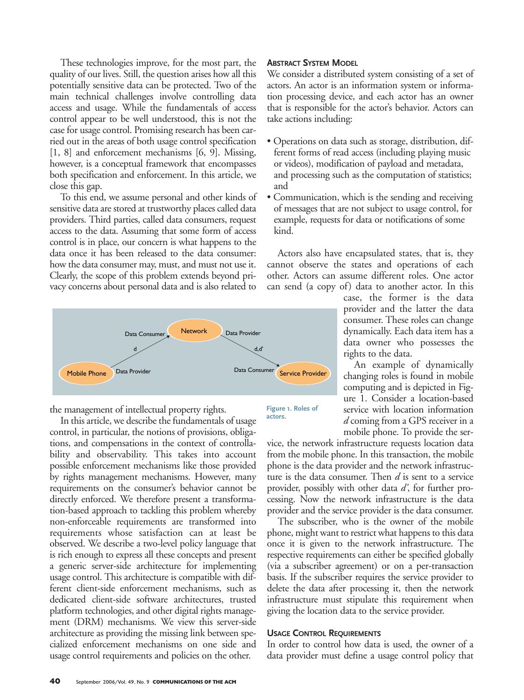These technologies improve, for the most part, the quality of our lives. Still, the question arises how all this potentially sensitive data can be protected. Two of the main technical challenges involve controlling data access and usage. While the fundamentals of access control appear to be well understood, this is not the case for usage control. Promising research has been carried out in the areas of both usage control specification [1, 8] and enforcement mechanisms [6, 9]. Missing, however, is a conceptual framework that encompasses both specification and enforcement. In this article, we close this gap.

To this end, we assume personal and other kinds of sensitive data are stored at trustworthy places called data providers. Third parties, called data consumers, request access to the data. Assuming that some form of access control is in place, our concern is what happens to the data once it has been released to the data consumer:<br>**I** how the data consumer may, must, and must not use it. Clearly, the scope of this problem extends beyond privacy concerns about personal data and is also related to



the management of intellectual property rights.

In this article, we describe the fundamentals of usage control, in particular, the notions of provisions, obligations, and compensations in the context of controllability and observability. This takes into account possible enforcement mechanisms like those provided by rights management mechanisms. However, many requirements on the consumer's behavior cannot be directly enforced. We therefore present a transformation-based approach to tackling this problem whereby non-enforceable requirements are transformed into requirements whose satisfaction can at least be observed. We describe a two-level policy language that is rich enough to express all these concepts and present a generic server-side architecture for implementing usage control. This architecture is compatible with different client-side enforcement mechanisms, such as dedicated client-side software architectures, trusted platform technologies, and other digital rights management (DRM) mechanisms. We view this server-side architecture as providing the missing link between specialized enforcement mechanisms on one side and usage control requirements and policies on the other.

### **ABSTRACT SYSTEM MODEL**

We consider a distributed system consisting of a set of actors. An actor is an information system or information processing device, and each actor has an owner that is responsible for the actor's behavior. Actors can take actions including:

- Operations on data such as storage, distribution, different forms of read access (including playing music or videos), modification of payload and metadata, and processing such as the computation of statistics; and
- Communication, which is the sending and receiving of messages that are not subject to usage control, for example, requests for data or notifications of some kind.

Actors also have encapsulated states, that is, they cannot observe the states and operations of each other. Actors can assume different roles. One actor can send (a copy of) data to another actor. In this

> case, the former is the data provider and the latter the data consumer. These roles can change dynamically. Each data item has a data owner who possesses the rights to the data.

> An example of dynamically changing roles is found in mobile computing and is depicted in Figure 1. Consider a location-based service with location information *d* coming from a GPS receiver in a mobile phone. To provide the ser-

vice, the network infrastructure requests location data from the mobile phone. In this transaction, the mobile phone is the data provider and the network infrastructure is the data consumer. Then *d* is sent to a service provider, possibly with other data *d'*, for further processing. Now the network infrastructure is the data provider and the service provider is the data consumer.

The subscriber, who is the owner of the mobile phone, might want to restrict what happens to this data once it is given to the network infrastructure. The respective requirements can either be specified globally (via a subscriber agreement) or on a per-transaction basis. If the subscriber requires the service provider to delete the data after processing it, then the network infrastructure must stipulate this requirement when giving the location data to the service provider.

#### **USAGE CONTROL REQUIREMENTS**

**Figure 1. Roles of** 

**actors.**

In order to control how data is used, the owner of a data provider must define a usage control policy that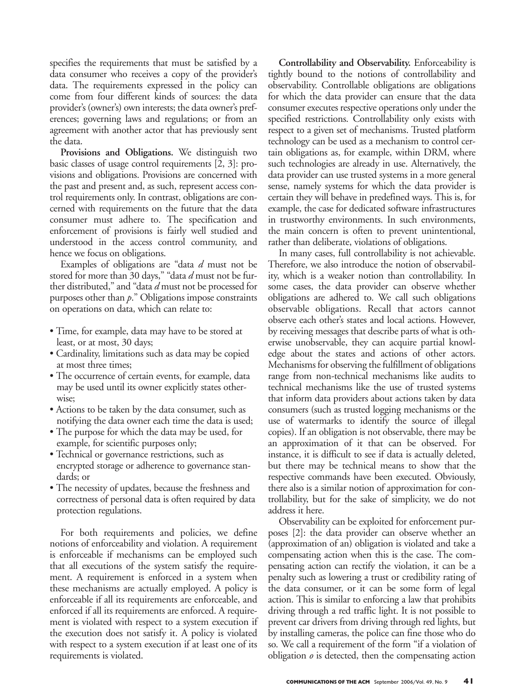specifies the requirements that must be satisfied by a data consumer who receives a copy of the provider's data. The requirements expressed in the policy can come from four different kinds of sources: the data provider's (owner's) own interests; the data owner's preferences; governing laws and regulations; or from an agreement with another actor that has previously sent the data.

**Provisions and Obligations.** We distinguish two basic classes of usage control requirements [2, 3]: provisions and obligations. Provisions are concerned with the past and present and, as such, represent access control requirements only. In contrast, obligations are concerned with requirements on the future that the data consumer must adhere to. The specification and enforcement of provisions is fairly well studied and understood in the access control community, and hence we focus on obligations.

Examples of obligations are "data *d* must not be stored for more than 30 days," "data *d* must not be further distributed," and "data *d* must not be processed for purposes other than *p*." Obligations impose constraints on operations on data, which can relate to:

- Time, for example, data may have to be stored at least, or at most, 30 days;
- Cardinality, limitations such as data may be copied at most three times;
- The occurrence of certain events, for example, data may be used until its owner explicitly states otherwise;
- Actions to be taken by the data consumer, such as notifying the data owner each time the data is used;
- The purpose for which the data may be used, for example, for scientific purposes only;
- Technical or governance restrictions, such as encrypted storage or adherence to governance standards; or
- The necessity of updates, because the freshness and correctness of personal data is often required by data protection regulations.

For both requirements and policies, we define notions of enforceability and violation. A requirement is enforceable if mechanisms can be employed such that all executions of the system satisfy the requirement. A requirement is enforced in a system when these mechanisms are actually employed. A policy is enforceable if all its requirements are enforceable, and enforced if all its requirements are enforced. A requirement is violated with respect to a system execution if the execution does not satisfy it. A policy is violated with respect to a system execution if at least one of its requirements is violated.

**Controllability and Observability.** Enforceability is tightly bound to the notions of controllability and observability. Controllable obligations are obligations for which the data provider can ensure that the data consumer executes respective operations only under the specified restrictions. Controllability only exists with respect to a given set of mechanisms. Trusted platform technology can be used as a mechanism to control certain obligations as, for example, within DRM, where such technologies are already in use. Alternatively, the data provider can use trusted systems in a more general sense, namely systems for which the data provider is certain they will behave in predefined ways. This is, for example, the case for dedicated software infrastructures in trustworthy environments. In such environments, the main concern is often to prevent unintentional, rather than deliberate, violations of obligations.

In many cases, full controllability is not achievable. Therefore, we also introduce the notion of observability, which is a weaker notion than controllability. In some cases, the data provider can observe whether obligations are adhered to. We call such obligations observable obligations. Recall that actors cannot observe each other's states and local actions. However, by receiving messages that describe parts of what is otherwise unobservable, they can acquire partial knowledge about the states and actions of other actors. Mechanisms for observing the fulfillment of obligations range from non-technical mechanisms like audits to technical mechanisms like the use of trusted systems that inform data providers about actions taken by data consumers (such as trusted logging mechanisms or the use of watermarks to identify the source of illegal copies). If an obligation is not observable, there may be an approximation of it that can be observed. For instance, it is difficult to see if data is actually deleted, but there may be technical means to show that the respective commands have been executed. Obviously, there also is a similar notion of approximation for controllability, but for the sake of simplicity, we do not address it here.

Observability can be exploited for enforcement purposes [2]: the data provider can observe whether an (approximation of an) obligation is violated and take a compensating action when this is the case. The compensating action can rectify the violation, it can be a penalty such as lowering a trust or credibility rating of the data consumer, or it can be some form of legal action. This is similar to enforcing a law that prohibits driving through a red traffic light. It is not possible to prevent car drivers from driving through red lights, but by installing cameras, the police can fine those who do so. We call a requirement of the form "if a violation of obligation  $\rho$  is detected, then the compensating action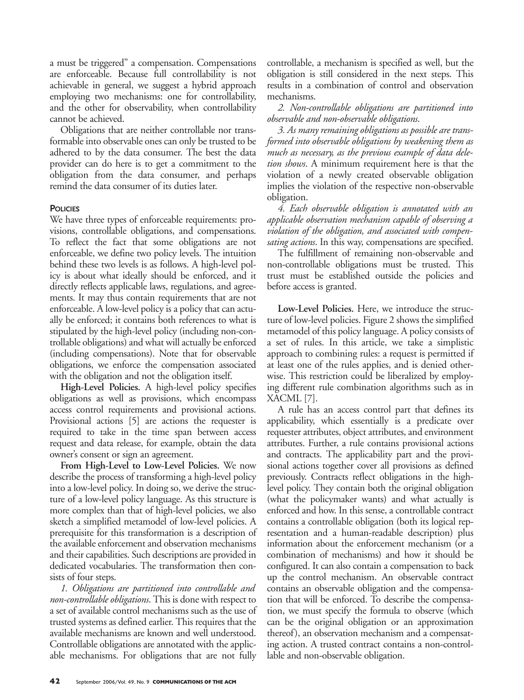a must be triggered" a compensation. Compensations are enforceable. Because full controllability is not achievable in general, we suggest a hybrid approach employing two mechanisms: one for controllability, and the other for observability, when controllability cannot be achieved.

Obligations that are neither controllable nor transformable into observable ones can only be trusted to be adhered to by the data consumer. The best the data provider can do here is to get a commitment to the obligation from the data consumer, and perhaps remind the data consumer of its duties later.

### **POLICIES**

We have three types of enforceable requirements: provisions, controllable obligations, and compensations. To reflect the fact that some obligations are not enforceable, we define two policy levels. The intuition behind these two levels is as follows. A high-level policy is about what ideally should be enforced, and it directly reflects applicable laws, regulations, and agreements. It may thus contain requirements that are not enforceable. A low-level policy is a policy that can actually be enforced; it contains both references to what is stipulated by the high-level policy (including non-controllable obligations) and what will actually be enforced (including compensations). Note that for observable obligations, we enforce the compensation associated with the obligation and not the obligation itself.

**High-Level Policies.** A high-level policy specifies obligations as well as provisions, which encompass access control requirements and provisional actions. Provisional actions [5] are actions the requester is required to take in the time span between access request and data release, for example, obtain the data owner's consent or sign an agreement.

**From High-Level to Low-Level Policies.** We now describe the process of transforming a high-level policy into a low-level policy. In doing so, we derive the structure of a low-level policy language. As this structure is more complex than that of high-level policies, we also sketch a simplified metamodel of low-level policies. A prerequisite for this transformation is a description of the available enforcement and observation mechanisms and their capabilities. Such descriptions are provided in dedicated vocabularies. The transformation then consists of four steps.

*1. Obligations are partitioned into controllable and non-controllable obligations*. This is done with respect to a set of available control mechanisms such as the use of trusted systems as defined earlier. This requires that the available mechanisms are known and well understood. Controllable obligations are annotated with the applicable mechanisms. For obligations that are not fully

controllable, a mechanism is specified as well, but the obligation is still considered in the next steps. This results in a combination of control and observation mechanisms.

*2. Non-controllable obligations are partitioned into observable and non-observable obligations*.

*3. As many remaining obligations as possible are transformed into observable obligations by weakening them as much as necessary, as the previous example of data deletion shows*. A minimum requirement here is that the violation of a newly created observable obligation implies the violation of the respective non-observable obligation.

*4. Each observable obligation is annotated with an applicable observation mechanism capable of observing a violation of the obligation, and associated with compensating actions*. In this way, compensations are specified.

The fulfillment of remaining non-observable and non-controllable obligations must be trusted. This trust must be established outside the policies and before access is granted.

**Low-Level Policies.** Here, we introduce the structure of low-level policies. Figure 2 shows the simplified metamodel of this policy language. A policy consists of a set of rules. In this article, we take a simplistic approach to combining rules: a request is permitted if at least one of the rules applies, and is denied otherwise. This restriction could be liberalized by employing different rule combination algorithms such as in XACML [7].

A rule has an access control part that defines its applicability, which essentially is a predicate over requester attributes, object attributes, and environment attributes. Further, a rule contains provisional actions and contracts. The applicability part and the provisional actions together cover all provisions as defined previously. Contracts reflect obligations in the highlevel policy. They contain both the original obligation (what the policymaker wants) and what actually is enforced and how. In this sense, a controllable contract contains a controllable obligation (both its logical representation and a human-readable description) plus information about the enforcement mechanism (or a combination of mechanisms) and how it should be configured. It can also contain a compensation to back up the control mechanism. An observable contract contains an observable obligation and the compensation that will be enforced. To describe the compensation, we must specify the formula to observe (which can be the original obligation or an approximation thereof), an observation mechanism and a compensating action. A trusted contract contains a non-controllable and non-observable obligation.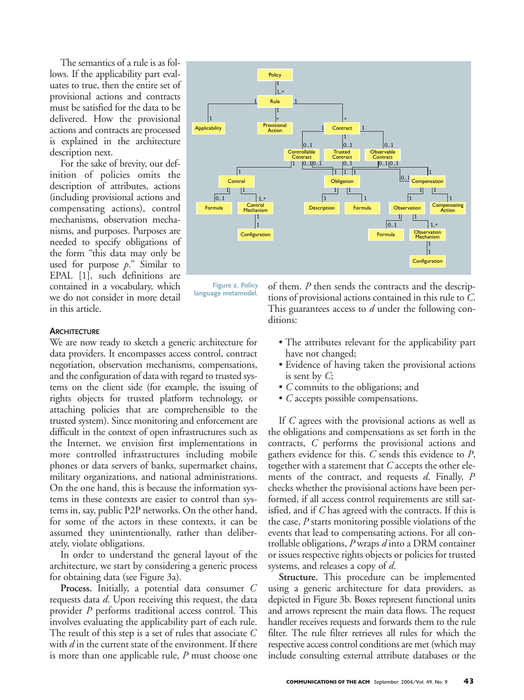The semantics of a rule is as follows. If the applicability part evaluates to true, then the entire set of provisional actions and contracts must be satisfied for the data to be delivered. How the provisional actions and contracts are processed is explained in the architecture description next.

For the sake of brevity, our definition of policies omits the description of attributes, actions (including provisional actions and compensating actions), control mechanisms, observation mechanisms, and purposes. Purposes are needed to specify obligations of the form "this data may only be used for purpose *p*." Similar to EPAL [1], such definitions are contained in a vocabulary, which we do not consider in more detail in this article.



**Figure 2. Policy language metamodel.**

#### **ARCHITECTURE**

We are now ready to sketch a generic architecture for data providers. It encompasses access control, contract negotiation, observation mechanisms, compensations, and the configuration of data with regard to trusted systems on the client side (for example, the issuing of rights objects for trusted platform technology, or attaching policies that are comprehensible to the trusted system). Since monitoring and enforcement are difficult in the context of open infrastructures such as the Internet, we envision first implementations in more controlled infrastructures including mobile phones or data servers of banks, supermarket chains, military organizations, and national administrations. On the one hand, this is because the information systems in these contexts are easier to control than systems in, say, public P2P networks. On the other hand, for some of the actors in these contexts, it can be assumed they unintentionally, rather than deliberately, violate obligations.

In order to understand the general layout of the architecture, we start by considering a generic process for obtaining data (see Figure 3a).

**Process.** Initially, a potential data consumer *C* requests data *d*. Upon receiving this request, the data provider *P* performs traditional access control. This involves evaluating the applicability part of each rule. The result of this step is a set of rules that associate *C* with *d* in the current state of the environment. If there is more than one applicable rule, *P* must choose one

of them. *P* then sends the contracts and the descriptions of provisional actions contained in this rule to *C*. This guarantees access to *d* under the following conditions:  $\frac{U}{B}$ 

- The attributes relevant for the applicability part have not changed;
- Evidence of having taken the provisional actions is sent by *C*;
- *C* commits to the obligations; and
- *C* accepts possible compensations.

If *C* agrees with the provisional actions as well as the obligations and compensations as set forth in the contracts, *C* performs the provisional actions and gathers evidence for this. *C* sends this evidence to *P*, together with a statement that *C* accepts the other elements of the contract, and requests *d*. Finally, *P* checks whether the provisional actions have been performed, if all access control requirements are still satisfied, and if *C* has agreed with the contracts. If this is the case, *P* starts monitoring possible violations of the events that lead to compensating actions. For all controllable obligations, *P* wraps *d* into a DRM container or issues respective rights objects or policies for trusted systems, and releases a copy of *d*.

**Structure.** This procedure can be implemented using a generic architecture for data providers, as depicted in Figure 3b. Boxes represent functional units and arrows represent the main data flows. The request handler receives requests and forwards them to the rule filter. The rule filter retrieves all rules for which the respective access control conditions are met (which may include consulting external attribute databases or the